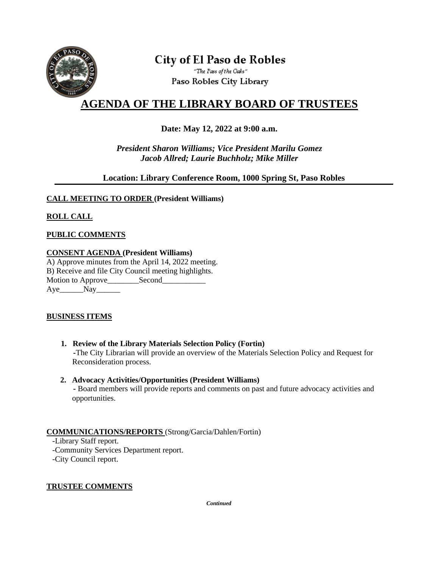

# **City of El Paso de Robles**

"The Pass of the Oaks" Paso Robles City Library

# **AGENDA OF THE LIBRARY BOARD OF TRUSTEES**

# **Date: May 12, 2022 at 9:00 a.m.**

*President Sharon Williams; Vice President Marilu Gomez Jacob Allred; Laurie Buchholz; Mike Miller*

### **Location: Library Conference Room, 1000 Spring St, Paso Robles**

#### **CALL MEETING TO ORDER (President Williams)**

# **ROLL CALL**

#### **PUBLIC COMMENTS**

#### **CONSENT AGENDA (President Williams)**

A) Approve minutes from the April 14, 2022 meeting. B) Receive and file City Council meeting highlights. Motion to Approve\_\_\_\_\_\_\_\_\_Second\_\_\_\_\_\_\_\_\_\_ Aye Nay

#### **BUSINESS ITEMS**

 **1. Review of the Library Materials Selection Policy (Fortin) -**The City Librarian will provide an overview of the Materials Selection Policy and Request for Reconsideration process.

#### **2. Advocacy Activities/Opportunities (President Williams)**

 **-** Board members will provide reports and comments on past and future advocacy activities and opportunities.

#### **COMMUNICATIONS/REPORTS** (Strong/Garcia/Dahlen/Fortin)

-Library Staff report.

 -Community Services Department report. -City Council report.

#### **TRUSTEE COMMENTS**

*Continued*